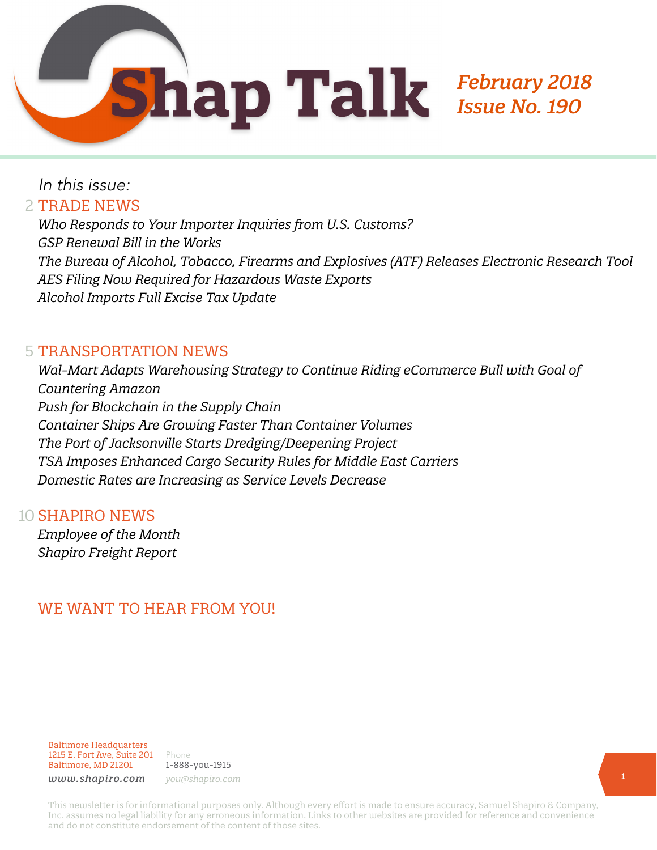

# In this issue: 2 TRADE NEWS

*Who Responds to Your Importer Inquiries from U.S. Customs? GSP Renewal Bill in the Works The Bureau of Alcohol, Tobacco, Firearms and Explosives (ATF) Releases Electronic Research Tool AES Filing Now Required for Hazardous Waste Exports Alcohol Imports Full Excise Tax Update* 

### **5 TRANSPORTATION NEWS**

*Wal-Mart Adapts Warehousing Strategy to Continue Riding eCommerce Bull with Goal of Countering Amazon Push for Blockchain in the Supply Chain Container Ships Are Growing Faster Than Container Volumes The Port of Jacksonville Starts Dredging/Deepening Project TSA Imposes Enhanced Cargo Security Rules for Middle East Carriers Domestic Rates are Increasing as Service Levels Decrease*

### 10 **SHAPIRO NEWS**

*Employee of the Month Shapiro Freight Report*

# WE WANT TO HEAR FROM YOU!

Baltimore Headquarters 1215 E. Fort Ave, Suite 201 Baltimore, MD 21201

Phone 1-888-you-1915 *www.shapiro.com you@shapiro.com*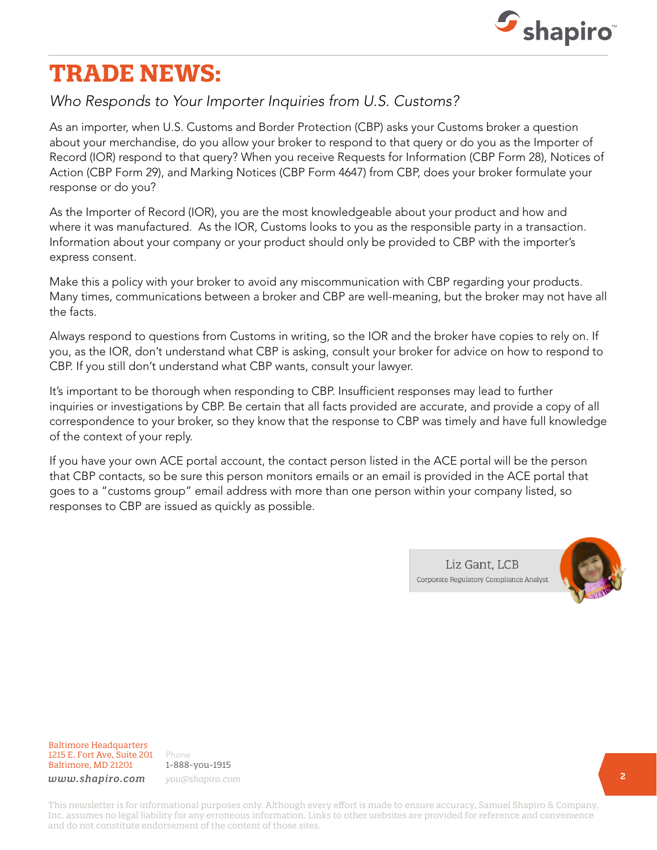

# **TRADE NEWS:**

## *Who Responds to Your Importer Inquiries from U.S. Customs?*

As an importer, when U.S. Customs and Border Protection (CBP) asks your Customs broker a question about your merchandise, do you allow your broker to respond to that query or do you as the Importer of Record (IOR) respond to that query? When you receive Requests for Information (CBP Form 28), Notices of Action (CBP Form 29), and Marking Notices (CBP Form 4647) from CBP, does your broker formulate your response or do you?

As the Importer of Record (IOR), you are the most knowledgeable about your product and how and where it was manufactured. As the IOR, Customs looks to you as the responsible party in a transaction. Information about your company or your product should only be provided to CBP with the importer's express consent.

Make this a policy with your broker to avoid any miscommunication with CBP regarding your products. Many times, communications between a broker and CBP are well-meaning, but the broker may not have all the facts.

Always respond to questions from Customs in writing, so the IOR and the broker have copies to rely on. If you, as the IOR, don't understand what CBP is asking, consult your broker for advice on how to respond to CBP. If you still don't understand what CBP wants, consult your lawyer.

It's important to be thorough when responding to CBP. Insufficient responses may lead to further inquiries or investigations by CBP. Be certain that all facts provided are accurate, and provide a copy of all correspondence to your broker, so they know that the response to CBP was timely and have full knowledge of the context of your reply.

If you have your own ACE portal account, the contact person listed in the ACE portal will be the person that CBP contacts, so be sure this person monitors emails or an email is provided in the ACE portal that goes to a "customs group" email address with more than one person within your company listed, so responses to CBP are issued as quickly as possible.

> Liz Gant, LCB Corporate Regulatory Compliance Analyst



Baltimore Headquarters 1215 E. Fort Ave, Suite 201 Baltimore, MD 21201

Phone 1-888-you-1915 *www.shapiro.com you@shapiro.com*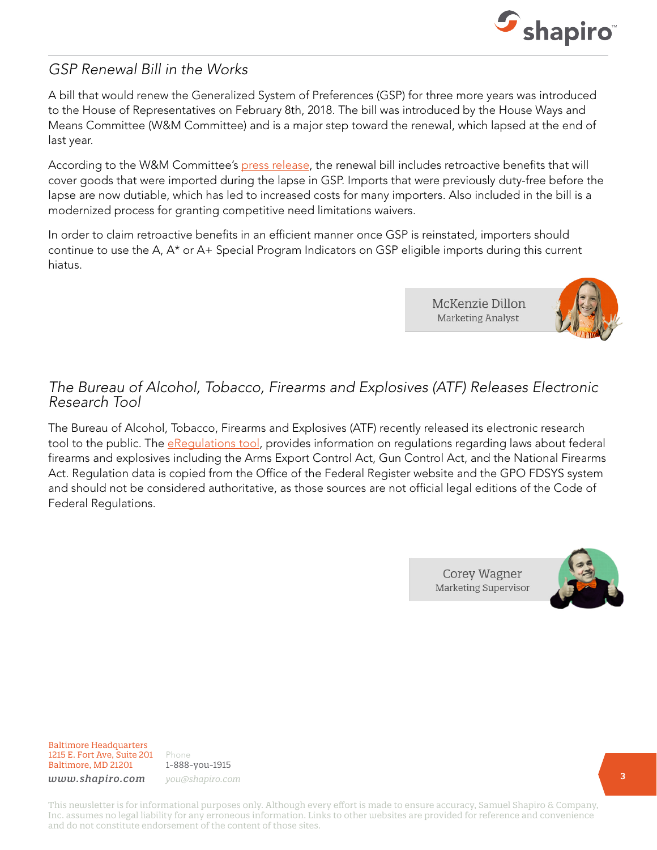

## *GSP Renewal Bill in the Works*

A bill that would renew the Generalized System of Preferences (GSP) for three more years was introduced to the House of Representatives on February 8th, 2018. The bill was introduced by the House Ways and Means Committee (W&M Committee) and is a major step toward the renewal, which lapsed at the end of last year.

According to the W&M Committee's [press release](https://waysandmeans.house.gov/wm-committee-members-introduce-bipartisan-bill-provide-tariff-relief-cost-savings/), the renewal bill includes retroactive benefits that will cover goods that were imported during the lapse in GSP. Imports that were previously duty-free before the lapse are now dutiable, which has led to increased costs for many importers. Also included in the bill is a modernized process for granting competitive need limitations waivers.

In order to claim retroactive benefits in an efficient manner once GSP is reinstated, importers should continue to use the A, A\* or A+ Special Program Indicators on GSP eligible imports during this current hiatus.

> McKenzie Dillon **Marketing Analyst**

![](_page_2_Picture_6.jpeg)

## *The Bureau of Alcohol, Tobacco, Firearms and Explosives (ATF) Releases Electronic Research Tool*

The Bureau of Alcohol, Tobacco, Firearms and Explosives (ATF) recently released its electronic research tool to the public. The [eRegulations tool](https://regulations.atf.gov/), provides information on regulations regarding laws about federal firearms and explosives including the Arms Export Control Act, Gun Control Act, and the National Firearms Act. Regulation data is copied from the Office of the Federal Register website and the GPO FDSYS system and should not be considered authoritative, as those sources are not official legal editions of the Code of Federal Regulations.

> Corey Wagner **Marketing Supervisor**

![](_page_2_Picture_10.jpeg)

Baltimore Headquarters 1215 E. Fort Ave, Suite 201 Baltimore, MD 21201

Phone 1-888-you-1915 *www.shapiro.com you@shapiro.com*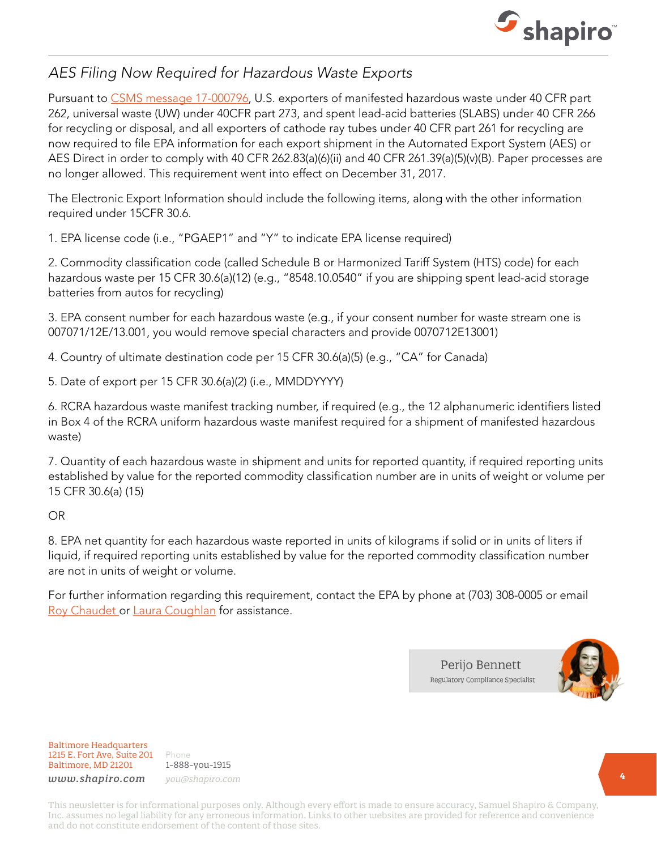![](_page_3_Picture_0.jpeg)

# *AES Filing Now Required for Hazardous Waste Exports*

Pursuant to [CSMS message 17-000796,](https://apps.cbp.gov/csms/viewmssg.asp?Recid=23194&page=&srch_argv=17-000796&srchtype=all&btype=&sortby=&sby=) U.S. exporters of manifested hazardous waste under 40 CFR part 262, universal waste (UW) under 40CFR part 273, and spent lead-acid batteries (SLABS) under 40 CFR 266 for recycling or disposal, and all exporters of cathode ray tubes under 40 CFR part 261 for recycling are now required to file EPA information for each export shipment in the Automated Export System (AES) or AES Direct in order to comply with 40 CFR 262.83(a)(6)(ii) and 40 CFR 261.39(a)(5)(v)(B). Paper processes are no longer allowed. This requirement went into effect on December 31, 2017.

The Electronic Export Information should include the following items, along with the other information required under 15CFR 30.6.

1. EPA license code (i.e., "PGAEP1" and "Y" to indicate EPA license required)

2. Commodity classification code (called Schedule B or Harmonized Tariff System (HTS) code) for each hazardous waste per 15 CFR 30.6(a)(12) (e.g., "8548.10.0540" if you are shipping spent lead-acid storage batteries from autos for recycling)

3. EPA consent number for each hazardous waste (e.g., if your consent number for waste stream one is 007071/12E/13.001, you would remove special characters and provide 0070712E13001)

4. Country of ultimate destination code per 15 CFR 30.6(a)(5) (e.g., "CA" for Canada)

5. Date of export per 15 CFR 30.6(a)(2) (i.e., MMDDYYYY)

6. RCRA hazardous waste manifest tracking number, if required (e.g., the 12 alphanumeric identifiers listed in Box 4 of the RCRA uniform hazardous waste manifest required for a shipment of manifested hazardous waste)

7. Quantity of each hazardous waste in shipment and units for reported quantity, if required reporting units established by value for the reported commodity classification number are in units of weight or volume per 15 CFR 30.6(a) (15)

OR

8. EPA net quantity for each hazardous waste reported in units of kilograms if solid or in units of liters if liquid, if required reporting units established by value for the reported commodity classification number are not in units of weight or volume.

For further information regarding this requirement, contact the EPA by phone at (703) 308-0005 or email [Roy Chaudet](mailto:chaudet.roy%40epa.gov?subject=) or [Laura Coughlan](mailto:coughlan.laura%40epa.gov?subject=) for assistance.

> Perijo Bennett Regulatory Compliance Specialist

![](_page_3_Picture_15.jpeg)

Baltimore Headquarters 1215 E. Fort Ave, Suite 201 Baltimore, MD 21201

Phone 1-888-you-1915 *www.shapiro.com you@shapiro.com*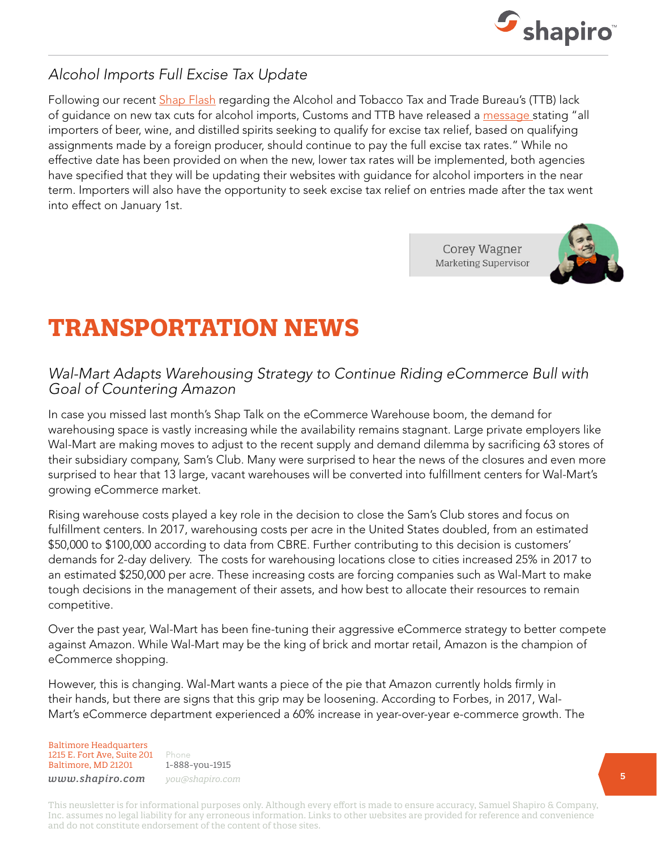![](_page_4_Picture_0.jpeg)

# *Alcohol Imports Full Excise Tax Update*

Following our recent [Shap Flash](https://www.shapiro.com/alerts/cbps-hands-are-tied-in-terms-implementation-of-tax-cuts-for-alcoholic-beverages/) regarding the Alcohol and Tobacco Tax and Trade Bureau's (TTB) lack of guidance on new tax cuts for alcohol imports, Customs and TTB have released a [message s](https://apps.cbp.gov/csms/viewmssg.asp?Recid=23304&page=&srch_argv=18-000103&srchtype=all&btype=&sortby=&sby=)tating "all importers of beer, wine, and distilled spirits seeking to qualify for excise tax relief, based on qualifying assignments made by a foreign producer, should continue to pay the full excise tax rates." While no effective date has been provided on when the new, lower tax rates will be implemented, both agencies have specified that they will be updating their websites with guidance for alcohol importers in the near term. Importers will also have the opportunity to seek excise tax relief on entries made after the tax went into effect on January 1st.

> Corey Wagner **Marketing Supervisor**

![](_page_4_Picture_4.jpeg)

# **TRANSPORTATION NEWS**

## *Wal-Mart Adapts Warehousing Strategy to Continue Riding eCommerce Bull with Goal of Countering Amazon*

In case you missed last month's Shap Talk on the eCommerce Warehouse boom, the demand for warehousing space is vastly increasing while the availability remains stagnant. Large private employers like Wal-Mart are making moves to adjust to the recent supply and demand dilemma by sacrificing 63 stores of their subsidiary company, Sam's Club. Many were surprised to hear the news of the closures and even more surprised to hear that 13 large, vacant warehouses will be converted into fulfillment centers for Wal-Mart's growing eCommerce market.

Rising warehouse costs played a key role in the decision to close the Sam's Club stores and focus on fulfillment centers. In 2017, warehousing costs per acre in the United States doubled, from an estimated \$50,000 to \$100,000 according to data from CBRE. Further contributing to this decision is customers' demands for 2-day delivery. The costs for warehousing locations close to cities increased 25% in 2017 to an estimated \$250,000 per acre. These increasing costs are forcing companies such as Wal-Mart to make tough decisions in the management of their assets, and how best to allocate their resources to remain competitive.

Over the past year, Wal-Mart has been fine-tuning their aggressive eCommerce strategy to better compete against Amazon. While Wal-Mart may be the king of brick and mortar retail, Amazon is the champion of eCommerce shopping.

However, this is changing. Wal-Mart wants a piece of the pie that Amazon currently holds firmly in their hands, but there are signs that this grip may be loosening. According to Forbes, in 2017, Wal-Mart's eCommerce department experienced a 60% increase in year-over-year e-commerce growth. The

Baltimore Headquarters 1215 E. Fort Ave, Suite 201 Baltimore, MD 21201

Phone 1-888-you-1915 *www.shapiro.com you@shapiro.com*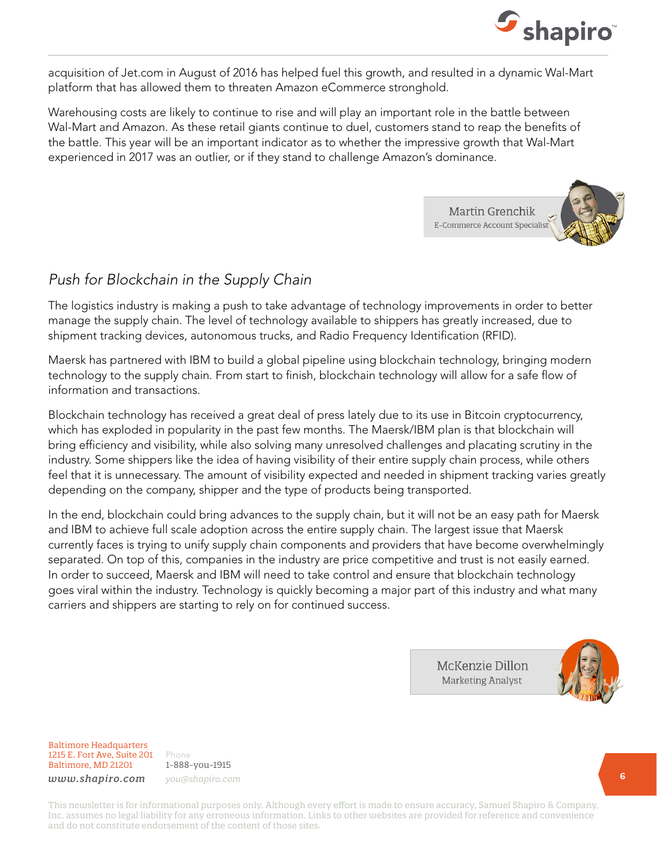![](_page_5_Picture_0.jpeg)

acquisition of Jet.com in August of 2016 has helped fuel this growth, and resulted in a dynamic Wal-Mart platform that has allowed them to threaten Amazon eCommerce stronghold.

Warehousing costs are likely to continue to rise and will play an important role in the battle between Wal-Mart and Amazon. As these retail giants continue to duel, customers stand to reap the benefits of the battle. This year will be an important indicator as to whether the impressive growth that Wal-Mart experienced in 2017 was an outlier, or if they stand to challenge Amazon's dominance.

![](_page_5_Picture_3.jpeg)

# *Push for Blockchain in the Supply Chain*

The logistics industry is making a push to take advantage of technology improvements in order to better manage the supply chain. The level of technology available to shippers has greatly increased, due to shipment tracking devices, autonomous trucks, and Radio Frequency Identification (RFID).

Maersk has partnered with IBM to build a global pipeline using blockchain technology, bringing modern technology to the supply chain. From start to finish, blockchain technology will allow for a safe flow of information and transactions.

Blockchain technology has received a great deal of press lately due to its use in Bitcoin cryptocurrency, which has exploded in popularity in the past few months. The Maersk/IBM plan is that blockchain will bring efficiency and visibility, while also solving many unresolved challenges and placating scrutiny in the industry. Some shippers like the idea of having visibility of their entire supply chain process, while others feel that it is unnecessary. The amount of visibility expected and needed in shipment tracking varies greatly depending on the company, shipper and the type of products being transported.

In the end, blockchain could bring advances to the supply chain, but it will not be an easy path for Maersk and IBM to achieve full scale adoption across the entire supply chain. The largest issue that Maersk currently faces is trying to unify supply chain components and providers that have become overwhelmingly separated. On top of this, companies in the industry are price competitive and trust is not easily earned. In order to succeed, Maersk and IBM will need to take control and ensure that blockchain technology goes viral within the industry. Technology is quickly becoming a major part of this industry and what many carriers and shippers are starting to rely on for continued success.

> McKenzie Dillon **Marketing Analyst**

![](_page_5_Picture_10.jpeg)

Baltimore Headquarters 1215 E. Fort Ave, Suite 201 Baltimore, MD 21201

Phone 1-888-you-1915 *www.shapiro.com you@shapiro.com*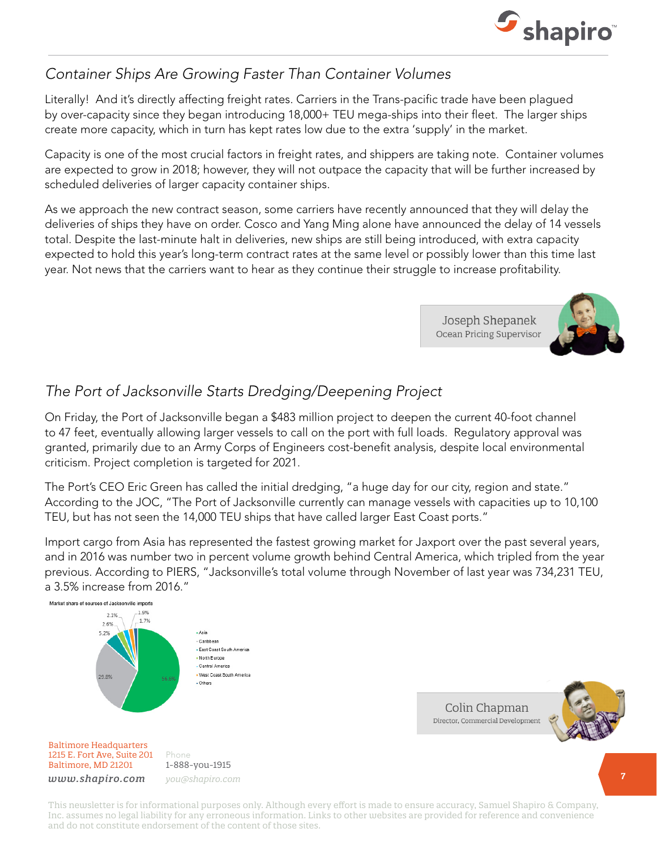![](_page_6_Picture_0.jpeg)

# *Container Ships Are Growing Faster Than Container Volumes*

Literally! And it's directly affecting freight rates. Carriers in the Trans-pacific trade have been plagued by over-capacity since they began introducing 18,000+ TEU mega-ships into their fleet. The larger ships create more capacity, which in turn has kept rates low due to the extra 'supply' in the market.

Capacity is one of the most crucial factors in freight rates, and shippers are taking note. Container volumes are expected to grow in 2018; however, they will not outpace the capacity that will be further increased by scheduled deliveries of larger capacity container ships.

As we approach the new contract season, some carriers have recently announced that they will delay the deliveries of ships they have on order. Cosco and Yang Ming alone have announced the delay of 14 vessels total. Despite the last-minute halt in deliveries, new ships are still being introduced, with extra capacity expected to hold this year's long-term contract rates at the same level or possibly lower than this time last year. Not news that the carriers want to hear as they continue their struggle to increase profitability.

> Joseph Shepanek Ocean Pricing Supervisor

![](_page_6_Picture_6.jpeg)

# *The Port of Jacksonville Starts Dredging/Deepening Project*

On Friday, the Port of Jacksonville began a \$483 million project to deepen the current 40-foot channel to 47 feet, eventually allowing larger vessels to call on the port with full loads. Regulatory approval was granted, primarily due to an Army Corps of Engineers cost-benefit analysis, despite local environmental criticism. Project completion is targeted for 2021.

The Port's CEO Eric Green has called the initial dredging, "a huge day for our city, region and state." According to the JOC, "The Port of Jacksonville currently can manage vessels with capacities up to 10,100 TEU, but has not seen the 14,000 TEU ships that have called larger East Coast ports."

Import cargo from Asia has represented the fastest growing market for Jaxport over the past several years, and in 2016 was number two in percent volume growth behind Central America, which tripled from the year previous. According to PIERS, "Jacksonville's total volume through November of last year was 734,231 TEU, a 3.5% increase from 2016."

![](_page_6_Figure_11.jpeg)

Colin Chapman Director, Commercial Development

![](_page_6_Picture_13.jpeg)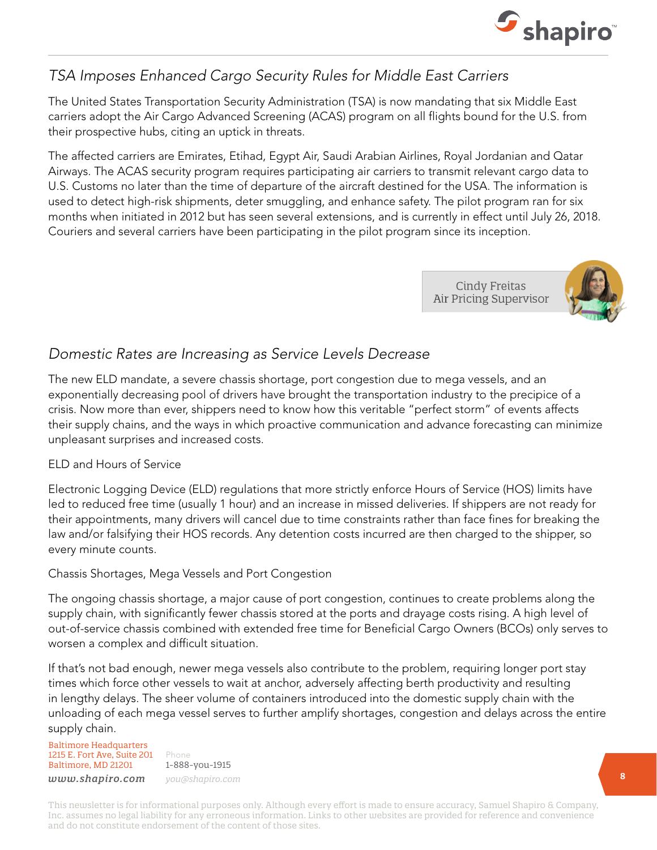![](_page_7_Picture_0.jpeg)

# *TSA Imposes Enhanced Cargo Security Rules for Middle East Carriers*

The United States Transportation Security Administration (TSA) is now mandating that six Middle East carriers adopt the Air Cargo Advanced Screening (ACAS) program on all flights bound for the U.S. from their prospective hubs, citing an uptick in threats.

The affected carriers are Emirates, Etihad, Egypt Air, Saudi Arabian Airlines, Royal Jordanian and Qatar Airways. The ACAS security program requires participating air carriers to transmit relevant cargo data to U.S. Customs no later than the time of departure of the aircraft destined for the USA. The information is used to detect high-risk shipments, deter smuggling, and enhance safety. The pilot program ran for six months when initiated in 2012 but has seen several extensions, and is currently in effect until July 26, 2018. Couriers and several carriers have been participating in the pilot program since its inception.

> **Cindy Freitas** Air Pricing Supervisor

![](_page_7_Picture_5.jpeg)

## *Domestic Rates are Increasing as Service Levels Decrease*

The new ELD mandate, a severe chassis shortage, port congestion due to mega vessels, and an exponentially decreasing pool of drivers have brought the transportation industry to the precipice of a crisis. Now more than ever, shippers need to know how this veritable "perfect storm" of events affects their supply chains, and the ways in which proactive communication and advance forecasting can minimize unpleasant surprises and increased costs.

### ELD and Hours of Service

Electronic Logging Device (ELD) regulations that more strictly enforce Hours of Service (HOS) limits have led to reduced free time (usually 1 hour) and an increase in missed deliveries. If shippers are not ready for their appointments, many drivers will cancel due to time constraints rather than face fines for breaking the law and/or falsifying their HOS records. Any detention costs incurred are then charged to the shipper, so every minute counts.

### Chassis Shortages, Mega Vessels and Port Congestion

The ongoing chassis shortage, a major cause of port congestion, continues to create problems along the supply chain, with significantly fewer chassis stored at the ports and drayage costs rising. A high level of out-of-service chassis combined with extended free time for Beneficial Cargo Owners (BCOs) only serves to worsen a complex and difficult situation.

If that's not bad enough, newer mega vessels also contribute to the problem, requiring longer port stay times which force other vessels to wait at anchor, adversely affecting berth productivity and resulting in lengthy delays. The sheer volume of containers introduced into the domestic supply chain with the unloading of each mega vessel serves to further amplify shortages, congestion and delays across the entire supply chain.

Baltimore Headquarters 1215 E. Fort Ave, Suite 201 Baltimore, MD 21201

Phone 1-888-you-1915 *www.shapiro.com you@shapiro.com*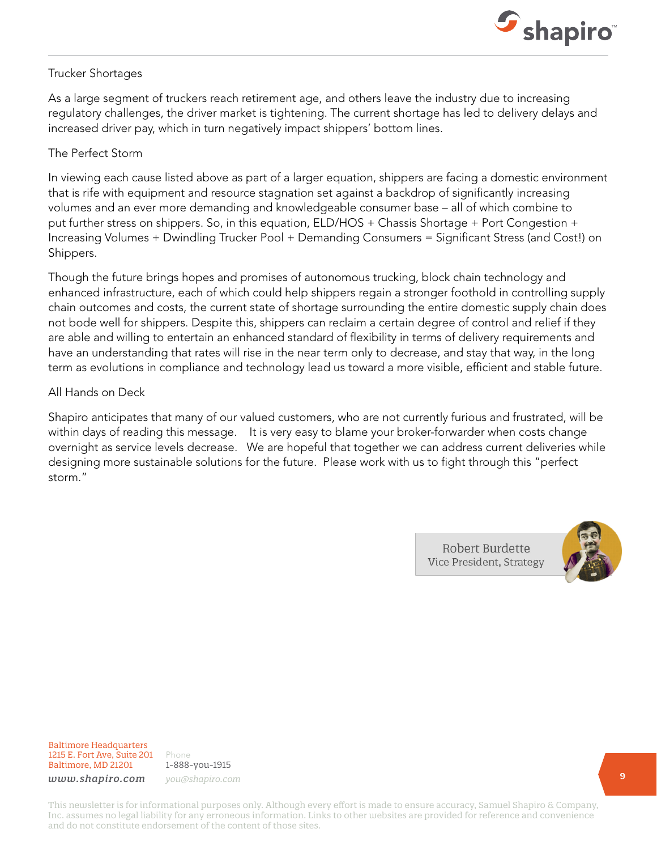![](_page_8_Picture_0.jpeg)

#### Trucker Shortages

As a large segment of truckers reach retirement age, and others leave the industry due to increasing regulatory challenges, the driver market is tightening. The current shortage has led to delivery delays and increased driver pay, which in turn negatively impact shippers' bottom lines.

#### The Perfect Storm

In viewing each cause listed above as part of a larger equation, shippers are facing a domestic environment that is rife with equipment and resource stagnation set against a backdrop of significantly increasing volumes and an ever more demanding and knowledgeable consumer base – all of which combine to put further stress on shippers. So, in this equation, ELD/HOS + Chassis Shortage + Port Congestion + Increasing Volumes + Dwindling Trucker Pool + Demanding Consumers = Significant Stress (and Cost!) on Shippers.

Though the future brings hopes and promises of autonomous trucking, block chain technology and enhanced infrastructure, each of which could help shippers regain a stronger foothold in controlling supply chain outcomes and costs, the current state of shortage surrounding the entire domestic supply chain does not bode well for shippers. Despite this, shippers can reclaim a certain degree of control and relief if they are able and willing to entertain an enhanced standard of flexibility in terms of delivery requirements and have an understanding that rates will rise in the near term only to decrease, and stay that way, in the long term as evolutions in compliance and technology lead us toward a more visible, efficient and stable future.

#### All Hands on Deck

Shapiro anticipates that many of our valued customers, who are not currently furious and frustrated, will be within days of reading this message. It is very easy to blame your broker-forwarder when costs change overnight as service levels decrease. We are hopeful that together we can address current deliveries while designing more sustainable solutions for the future. Please work with us to fight through this "perfect storm."

> Robert Burdette Vice President, Strategy

![](_page_8_Picture_9.jpeg)

Baltimore Headquarters 1215 E. Fort Ave, Suite 201 Baltimore, MD 21201

Phone 1-888-you-1915 *www.shapiro.com you@shapiro.com*